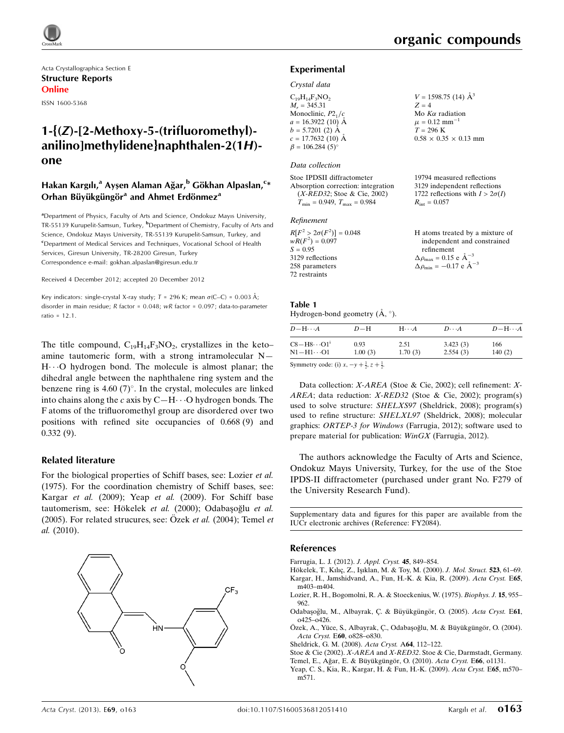Acta Crystallographica Section E Structure Reports Online

ISSN 1600-5368

## 1-{(Z)-[2-Methoxy-5-(trifluoromethyl) anilino]methylidene}naphthalen-2(1H) one

## Hakan Kargılı,<sup>a</sup> Ayşen Alaman Ağar,<sup>b</sup> Gökhan Alpaslan,<sup>c</sup>\* Orhan Büyükgüngör<sup>a</sup> and Ahmet Erdönmez<sup>a</sup>

<sup>a</sup>Department of Physics, Faculty of Arts and Science, Ondokuz Mayıs University, TR-55139 Kurupelit-Samsun, Turkey, <sup>b</sup>Department of Chemistry, Faculty of Arts and Science, Ondokuz Mayıs University, TR-55139 Kurupelit-Samsun, Turkey, and <sup>c</sup>Department of Medical Services and Techniques, Vocational School of Health Services, Giresun University, TR-28200 Giresun, Turkey Correspondence e-mail: [gokhan.alpaslan@giresun.edu.tr](https://scripts.iucr.org/cgi-bin/cr.cgi?rm=pdfbb&cnor=fy2084&bbid=BB10)

Received 4 December 2012; accepted 20 December 2012

Key indicators: single-crystal X-ray study;  $T = 296$  K; mean  $\sigma$ (C–C) = 0.003 Å; disorder in main residue; R factor = 0.048; wR factor = 0.097; data-to-parameter ratio =  $12.1$ .

The title compound,  $C_{19}H_{14}F_3NO_2$ , crystallizes in the keto– amine tautomeric form, with a strong intramolecular N— H...O hydrogen bond. The molecule is almost planar; the dihedral angle between the naphthalene ring system and the benzene ring is 4.60  $(7)^\circ$ . In the crystal, molecules are linked into chains along the  $c$  axis by  $C-H\cdots O$  hydrogen bonds. The F atoms of the trifluoromethyl group are disordered over two positions with refined site occupancies of 0.668 (9) and 0.332 (9).

#### Related literature

For the biological properties of Schiff bases, see: Lozier et al. (1975). For the coordination chemistry of Schiff bases, see: Kargar et al. (2009); Yeap et al. (2009). For Schiff base tautomerism, see: Hökelek et al. (2000); Odabaşoğlu et al. (2005). For related strucures, see: Özek et al. (2004); Temel et al. (2010).



19794 measured reflections 3129 independent reflections 1722 reflections with  $I > 2\sigma(I)$ 

 $R_{\text{int}} = 0.057$ 

### Experimental

#### Crystal data

| $C_{19}H_{14}F_3NO_2$  | $V = 1598.75$ (14) $\AA^3$        |
|------------------------|-----------------------------------|
| $M_r = 345.31$         | $Z = 4$                           |
| Monoclinic, $P2_1/c$   | Mo $K\alpha$ radiation            |
| $a = 16.3922(10)$ Å    | $\mu = 0.12$ mm <sup>-1</sup>     |
| $b = 5.7201$ (2) Å     | $T = 296$ K                       |
| $c = 17.7632(10)$ Å    | $0.58 \times 0.35 \times 0.13$ mm |
| $\beta = 106.284(5)$ ° |                                   |
|                        |                                   |

#### Data collection

Stoe IPDSII diffractometer Absorption correction: integration (X-RED32; Stoe & Cie, 2002)  $T_{\text{min}} = 0.949, T_{\text{max}} = 0.984$ 

#### Refinement

| $R[F^2 > 2\sigma(F^2)] = 0.048$ | H atoms treated by a mixture of                  |
|---------------------------------|--------------------------------------------------|
| $wR(F^2) = 0.097$               | independent and constrained                      |
| $S = 0.95$                      | refinement                                       |
| 3129 reflections                | $\Delta \rho_{\text{max}} = 0.15$ e $\AA^{-3}$   |
| 258 parameters                  | $\Delta \rho_{\rm min} = -0.17$ e $\rm \AA^{-3}$ |
| 72 restraints                   |                                                  |

#### Table 1 Hydrogen-bond geometry  $(A, \circ)$ .

| $D - H \cdots A$                 | $D-H$   | $H\cdots A$ | $D\cdots A$ | $D - H \cdots A$ |
|----------------------------------|---------|-------------|-------------|------------------|
| $C8 - H8 \cdots O1$ <sup>i</sup> | 0.93    | 2.51        | 3.423(3)    | 166              |
| $\rm N1\!-\!H1\!\cdots\!O1$      | 1.00(3) | 1.70(3)     | 2.554(3)    | 140(2)           |

Symmetry code: (i)  $x, -y + \frac{1}{2}, z + \frac{1}{2}$ .

Data collection: X-AREA (Stoe & Cie, 2002); cell refinement: X-AREA; data reduction: X-RED32 (Stoe & Cie, 2002); program(s) used to solve structure: SHELXS97 (Sheldrick, 2008); program(s) used to refine structure: SHELXL97 (Sheldrick, 2008); molecular graphics: ORTEP-3 for Windows (Farrugia, 2012); software used to prepare material for publication: WinGX (Farrugia, 2012).

The authors acknowledge the Faculty of Arts and Science, Ondokuz Mayıs University, Turkey, for the use of the Stoe IPDS-II diffractometer (purchased under grant No. F279 of the University Research Fund).

Supplementary data and figures for this paper are available from the IUCr electronic archives (Reference: FY2084).

#### References

- [Farrugia, L. J. \(2012\).](https://scripts.iucr.org/cgi-bin/cr.cgi?rm=pdfbb&cnor=fy2084&bbid=BB1) J. Appl. Cryst. 45, 849–854.
- Hökelek, T., Kılıç, Z., Işıklan, M. & Toy, M. (2000). J. Mol. Struct. 523, 61-69. [Kargar, H., Jamshidvand, A., Fun, H.-K. & Kia, R. \(2009\).](https://scripts.iucr.org/cgi-bin/cr.cgi?rm=pdfbb&cnor=fy2084&bbid=BB3) Acta Cryst. E65, [m403–m404.](https://scripts.iucr.org/cgi-bin/cr.cgi?rm=pdfbb&cnor=fy2084&bbid=BB3)
- [Lozier, R. H., Bogomolni, R. A. & Stoeckenius, W. \(1975\).](https://scripts.iucr.org/cgi-bin/cr.cgi?rm=pdfbb&cnor=fy2084&bbid=BB4) Biophys. J. 15, 955– [962.](https://scripts.iucr.org/cgi-bin/cr.cgi?rm=pdfbb&cnor=fy2084&bbid=BB4)
- Odabaşoğlu, M., Albayrak, Ç. & Büyükgüngör, O. (2005). Acta Cryst. E61, [o425–o426.](https://scripts.iucr.org/cgi-bin/cr.cgi?rm=pdfbb&cnor=fy2084&bbid=BB5)
- Özek, A., Yüce, S., Albayrak, Ç., Odabaşoğlu, M. & Büyükgüngör, O. (2004). Acta Cryst. E60[, o828–o830.](https://scripts.iucr.org/cgi-bin/cr.cgi?rm=pdfbb&cnor=fy2084&bbid=BB6)
- [Sheldrick, G. M. \(2008\).](https://scripts.iucr.org/cgi-bin/cr.cgi?rm=pdfbb&cnor=fy2084&bbid=BB7) Acta Cryst. A64, 112–122.
- Stoe & Cie (2002). X-AREA and X-RED32[. Stoe & Cie, Darmstadt, Germany.](https://scripts.iucr.org/cgi-bin/cr.cgi?rm=pdfbb&cnor=fy2084&bbid=BB8)
- Temel, E., Ağar, E. & Büyükgüngör, O. (2010). Acta Cryst. E66, o1131.
- [Yeap, C. S., Kia, R., Kargar, H. & Fun, H.-K. \(2009\).](https://scripts.iucr.org/cgi-bin/cr.cgi?rm=pdfbb&cnor=fy2084&bbid=BB10) Acta Cryst. E65, m570[m571.](https://scripts.iucr.org/cgi-bin/cr.cgi?rm=pdfbb&cnor=fy2084&bbid=BB10)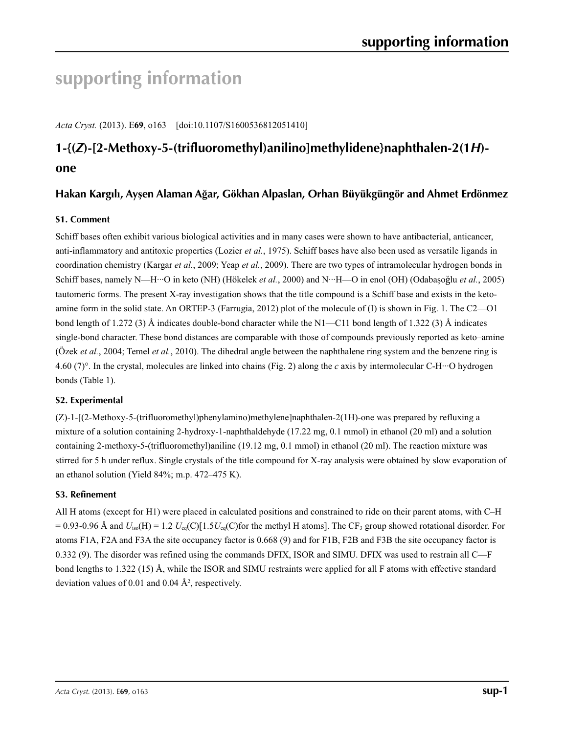# **supporting information**

*Acta Cryst.* (2013). E**69**, o163 [doi:10.1107/S1600536812051410]

## **1-{(***Z***)-[2-Methoxy-5-(trifluoromethyl)anilino]methylidene}naphthalen-2(1***H***) one**

## Hakan Kargılı, Ayşen Alaman Ağar, Gökhan Alpaslan, Orhan Büyükgüngör and Ahmet Erdönmez

## **S1. Comment**

Schiff bases often exhibit various biological activities and in many cases were shown to have antibacterial, anticancer, anti-inflammatory and antitoxic properties (Lozier *et al.*, 1975). Schiff bases have also been used as versatile ligands in coordination chemistry (Kargar *et al.*, 2009; Yeap *et al.*, 2009). There are two types of intramolecular hydrogen bonds in Schiff bases, namely N—H···O in keto (NH) (Hökelek *et al.*, 2000) and N···H—O in enol (OH) (Odabaşoǧlu *et al.*, 2005) tautomeric forms. The present X-ray investigation shows that the title compound is a Schiff base and exists in the ketoamine form in the solid state. An ORTEP-3 (Farrugia, 2012) plot of the molecule of (I) is shown in Fig. 1. The C2—O1 bond length of 1.272 (3) Å indicates double-bond character while the N1—C11 bond length of 1.322 (3) Å indicates single-bond character. These bond distances are comparable with those of compounds previously reported as keto–amine (Özek *et al.*, 2004; Temel *et al.*, 2010). The dihedral angle between the naphthalene ring system and the benzene ring is 4.60 (7)°. In the crystal, molecules are linked into chains (Fig. 2) along the *c* axis by intermolecular C-H···O hydrogen bonds (Table 1).

## **S2. Experimental**

(Z)-1-[(2-Methoxy-5-(trifluoromethyl)phenylamino)methylene]naphthalen-2(1H)-one was prepared by refluxing a mixture of a solution containing 2-hydroxy-1-naphthaldehyde (17.22 mg, 0.1 mmol) in ethanol (20 ml) and a solution containing 2-methoxy-5-(trifluoromethyl)aniline (19.12 mg, 0.1 mmol) in ethanol (20 ml). The reaction mixture was stirred for 5 h under reflux. Single crystals of the title compound for X-ray analysis were obtained by slow evaporation of an ethanol solution (Yield 84%; m.p. 472–475 K).

### **S3. Refinement**

All H atoms (except for H1) were placed in calculated positions and constrained to ride on their parent atoms, with C–H  $= 0.93$ -0.96 Å and  $U_{iso}(H) = 1.2 U_{eq}(C)[1.5U_{eq}(C)$  for the methyl H atoms]. The CF<sub>3</sub> group showed rotational disorder. For atoms F1A, F2A and F3A the site occupancy factor is 0.668 (9) and for F1B, F2B and F3B the site occupancy factor is 0.332 (9). The disorder was refined using the commands DFIX, ISOR and SIMU. DFIX was used to restrain all C—F bond lengths to 1.322 (15) Å, while the ISOR and SIMU restraints were applied for all F atoms with effective standard deviation values of 0.01 and 0.04  $\AA^2$ , respectively.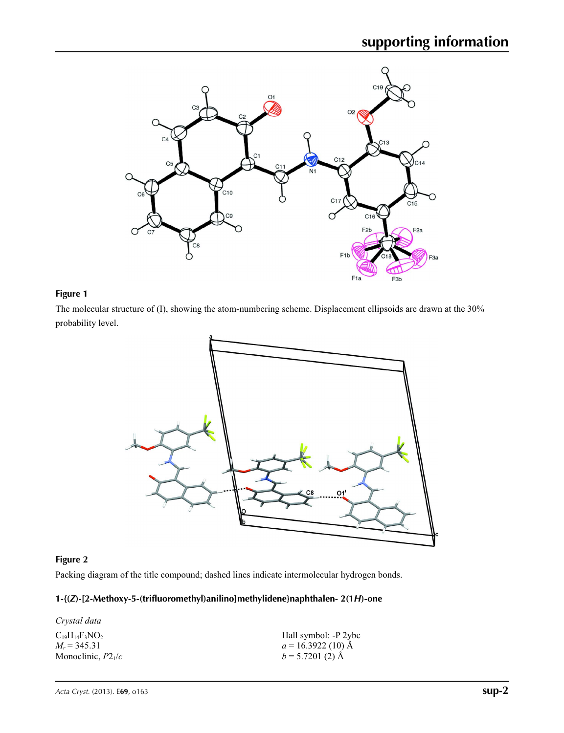

#### **Figure 1**

The molecular structure of (I), showing the atom-numbering scheme. Displacement ellipsoids are drawn at the 30% probability level.



#### **Figure 2**

Packing diagram of the title compound; dashed lines indicate intermolecular hydrogen bonds.

### **1-{(***Z***)-[2-Methoxy-5-(trifluoromethyl)anilino]methylidene}naphthalen- 2(1***H***)-one**

| Crystal data          |                      |
|-----------------------|----------------------|
| $C_{19}H_{14}F_3NO_2$ | Hall symbol: -P 2ybc |
| $M_r = 345.31$        | $a = 16.3922(10)$ Å  |
| Monoclinic, $P2_1/c$  | $b = 5.7201(2)$ Å    |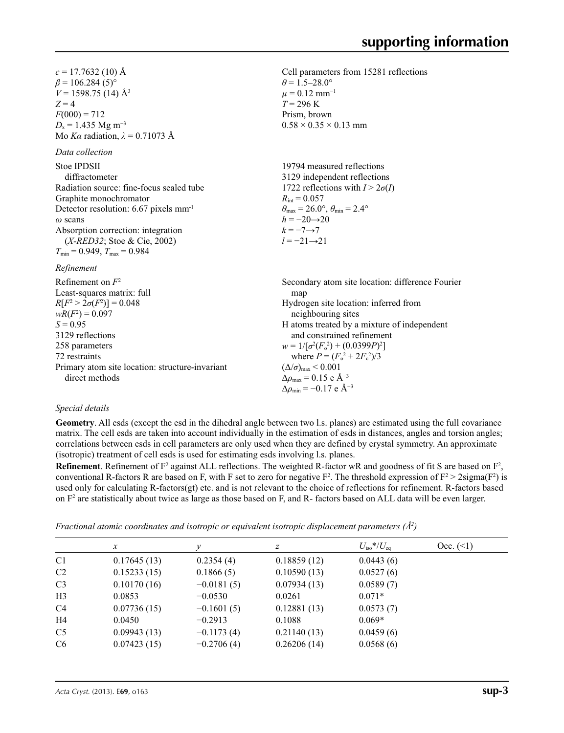Cell parameters from 15281 reflections

 $\theta$  = 1.5–28.0°  $\mu$  = 0.12 mm<sup>-1</sup>  $T = 296$  K Prism, brown

 $R_{\text{int}} = 0.057$ 

 $h = -20 \rightarrow 20$  $k = -7 \rightarrow 7$ *l* = −21→21

 $0.58 \times 0.35 \times 0.13$  mm

19794 measured reflections 3129 independent reflections 1722 reflections with  $I > 2\sigma(I)$ 

 $\theta_{\text{max}} = 26.0^{\circ}, \theta_{\text{min}} = 2.4^{\circ}$ 

 $c = 17.7632(10)$  Å  $\beta$  = 106.284 (5)<sup>o</sup>  $V = 1598.75$  (14) Å<sup>3</sup>  $Z = 4$  $F(000) = 712$  $D_x = 1.435$  Mg m<sup>-3</sup> Mo *Kα* radiation,  $\lambda = 0.71073$  Å

*Data collection*

Stoe IPDSII diffractometer Radiation source: fine-focus sealed tube Graphite monochromator Detector resolution: 6.67 pixels mm-1 *ω* scans Absorption correction: integration (*X-RED32*; Stoe & Cie, 2002)  $T_{\min}$  = 0.949,  $T_{\max}$  = 0.984

#### *Refinement*

Refinement on *F*<sup>2</sup> Least-squares matrix: full  $R[F^2 > 2\sigma(F^2)] = 0.048$  $wR(F^2) = 0.097$  $S = 0.95$ 3129 reflections 258 parameters 72 restraints Primary atom site location: structure-invariant direct methods Secondary atom site location: difference Fourier man Hydrogen site location: inferred from neighbouring sites H atoms treated by a mixture of independent and constrained refinement  $w = 1/[\sigma^2 (F_o^2) + (0.0399P)^2]$ where  $P = (F_o^2 + 2F_c^2)/3$  $(\Delta/\sigma)_{\text{max}}$  < 0.001  $\Delta\rho_{\text{max}} = 0.15$  e Å<sup>-3</sup>  $\Delta \rho_{\rm min} = -0.17$  e Å<sup>-3</sup>

#### *Special details*

**Geometry**. All esds (except the esd in the dihedral angle between two l.s. planes) are estimated using the full covariance matrix. The cell esds are taken into account individually in the estimation of esds in distances, angles and torsion angles; correlations between esds in cell parameters are only used when they are defined by crystal symmetry. An approximate (isotropic) treatment of cell esds is used for estimating esds involving l.s. planes.

**Refinement**. Refinement of  $F^2$  against ALL reflections. The weighted R-factor wR and goodness of fit S are based on  $F^2$ , conventional R-factors R are based on F, with F set to zero for negative  $F^2$ . The threshold expression of  $F^2 > 2 \text{sigma}(F^2)$  is used only for calculating R-factors(gt) etc. and is not relevant to the choice of reflections for refinement. R-factors based on  $F<sup>2</sup>$  are statistically about twice as large as those based on F, and R- factors based on ALL data will be even larger.

*Fractional atomic coordinates and isotropic or equivalent isotropic displacement parameters (Å<sup>2</sup>)* 

|                | $\mathcal{X}$ |              | Ζ           | $U_{\rm iso}*/U_{\rm eq}$ | Occ. (2) |
|----------------|---------------|--------------|-------------|---------------------------|----------|
| C <sub>1</sub> | 0.17645(13)   | 0.2354(4)    | 0.18859(12) | 0.0443(6)                 |          |
| C2             | 0.15233(15)   | 0.1866(5)    | 0.10590(13) | 0.0527(6)                 |          |
| C <sub>3</sub> | 0.10170(16)   | $-0.0181(5)$ | 0.07934(13) | 0.0589(7)                 |          |
| H <sub>3</sub> | 0.0853        | $-0.0530$    | 0.0261      | $0.071*$                  |          |
| C <sub>4</sub> | 0.07736(15)   | $-0.1601(5)$ | 0.12881(13) | 0.0573(7)                 |          |
| H <sub>4</sub> | 0.0450        | $-0.2913$    | 0.1088      | $0.069*$                  |          |
| C <sub>5</sub> | 0.09943(13)   | $-0.1173(4)$ | 0.21140(13) | 0.0459(6)                 |          |
| C <sub>6</sub> | 0.07423(15)   | $-0.2706(4)$ | 0.26206(14) | 0.0568(6)                 |          |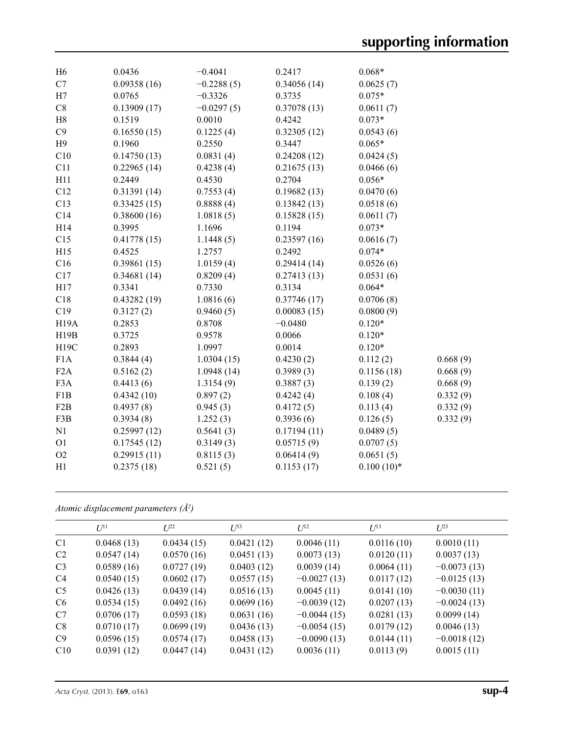| C7<br>0.09358(16)<br>$-0.2288(5)$<br>0.34056(14)<br>0.0625(7)<br>H7<br>$0.075*$<br>0.0765<br>$-0.3326$<br>0.3735<br>C8<br>$-0.0297(5)$<br>0.13909(17)<br>0.37078(13)<br>0.0611(7)<br>H8<br>$0.073*$<br>0.1519<br>0.0010<br>0.4242<br>C9<br>0.16550(15)<br>0.1225(4)<br>0.32305(12)<br>0.0543(6)<br>H9<br>0.1960<br>0.2550<br>0.3447<br>$0.065*$<br>C10<br>0.14750(13)<br>0.0831(4)<br>0.24208(12)<br>0.0424(5)<br>C11<br>0.22965(14)<br>0.4238(4)<br>0.21675(13)<br>0.0466(6)<br>H11<br>0.2449<br>0.4530<br>0.2704<br>$0.056*$<br>C12<br>0.31391(14)<br>0.7553(4)<br>0.19682(13)<br>0.0470(6)<br>C13<br>0.33425(15)<br>0.8888(4)<br>0.13842(13)<br>0.0518(6)<br>C14<br>0.38600(16)<br>1.0818(5)<br>0.15828(15)<br>0.0611(7)<br>H14<br>1.1696<br>$0.073*$<br>0.3995<br>0.1194<br>C15<br>0.41778(15)<br>1.1448(5)<br>0.23597(16)<br>0.0616(7)<br>$0.074*$<br>H15<br>0.4525<br>1.2757<br>0.2492<br>C16<br>0.39861(15)<br>1.0159(4)<br>0.29414(14)<br>0.0526(6)<br>C17<br>0.34681(14)<br>0.8209(4)<br>0.0531(6)<br>0.27413(13)<br>$0.064*$<br>H17<br>0.3341<br>0.7330<br>0.3134<br>C18<br>0.43282(19)<br>1.0816(6)<br>0.37746(17)<br>0.0706(8)<br>C19<br>0.3127(2)<br>0.9460(5)<br>0.00083(15)<br>0.0800(9)<br><b>H19A</b><br>$-0.0480$<br>0.2853<br>0.8708<br>$0.120*$<br>0.0066<br>H19B<br>0.3725<br>0.9578<br>$0.120*$<br>H19C<br>0.2893<br>1.0997<br>0.0014<br>$0.120*$<br>F1A<br>0.3844(4)<br>1.0304(15)<br>0.4230(2)<br>0.112(2)<br>0.668(9)<br>F <sub>2</sub> A<br>0.5162(2)<br>0.3989(3)<br>0.1156(18)<br>0.668(9)<br>1.0948(14)<br>F3A<br>0.4413(6)<br>1.3154(9)<br>0.3887(3)<br>0.139(2)<br>0.668(9)<br>F1B<br>0.4342(10)<br>0.897(2)<br>0.4242(4)<br>0.108(4)<br>0.332(9)<br>F <sub>2</sub> B<br>0.332(9)<br>0.4937(8)<br>0.945(3)<br>0.4172(5)<br>0.113(4)<br>F3B<br>0.3934(8)<br>1.252(3)<br>0.3936(6)<br>0.126(5)<br>0.332(9)<br>N1<br>0.25997(12)<br>0.5641(3)<br>0.17194(11)<br>0.0489(5) | H <sub>6</sub> | 0.0436 | $-0.4041$ | 0.2417 | $0.068*$ |  |
|-------------------------------------------------------------------------------------------------------------------------------------------------------------------------------------------------------------------------------------------------------------------------------------------------------------------------------------------------------------------------------------------------------------------------------------------------------------------------------------------------------------------------------------------------------------------------------------------------------------------------------------------------------------------------------------------------------------------------------------------------------------------------------------------------------------------------------------------------------------------------------------------------------------------------------------------------------------------------------------------------------------------------------------------------------------------------------------------------------------------------------------------------------------------------------------------------------------------------------------------------------------------------------------------------------------------------------------------------------------------------------------------------------------------------------------------------------------------------------------------------------------------------------------------------------------------------------------------------------------------------------------------------------------------------------------------------------------------------------------------------------------------------------------------------------------------------------------------------------------------------------------------------------|----------------|--------|-----------|--------|----------|--|
|                                                                                                                                                                                                                                                                                                                                                                                                                                                                                                                                                                                                                                                                                                                                                                                                                                                                                                                                                                                                                                                                                                                                                                                                                                                                                                                                                                                                                                                                                                                                                                                                                                                                                                                                                                                                                                                                                                       |                |        |           |        |          |  |
|                                                                                                                                                                                                                                                                                                                                                                                                                                                                                                                                                                                                                                                                                                                                                                                                                                                                                                                                                                                                                                                                                                                                                                                                                                                                                                                                                                                                                                                                                                                                                                                                                                                                                                                                                                                                                                                                                                       |                |        |           |        |          |  |
|                                                                                                                                                                                                                                                                                                                                                                                                                                                                                                                                                                                                                                                                                                                                                                                                                                                                                                                                                                                                                                                                                                                                                                                                                                                                                                                                                                                                                                                                                                                                                                                                                                                                                                                                                                                                                                                                                                       |                |        |           |        |          |  |
|                                                                                                                                                                                                                                                                                                                                                                                                                                                                                                                                                                                                                                                                                                                                                                                                                                                                                                                                                                                                                                                                                                                                                                                                                                                                                                                                                                                                                                                                                                                                                                                                                                                                                                                                                                                                                                                                                                       |                |        |           |        |          |  |
|                                                                                                                                                                                                                                                                                                                                                                                                                                                                                                                                                                                                                                                                                                                                                                                                                                                                                                                                                                                                                                                                                                                                                                                                                                                                                                                                                                                                                                                                                                                                                                                                                                                                                                                                                                                                                                                                                                       |                |        |           |        |          |  |
|                                                                                                                                                                                                                                                                                                                                                                                                                                                                                                                                                                                                                                                                                                                                                                                                                                                                                                                                                                                                                                                                                                                                                                                                                                                                                                                                                                                                                                                                                                                                                                                                                                                                                                                                                                                                                                                                                                       |                |        |           |        |          |  |
|                                                                                                                                                                                                                                                                                                                                                                                                                                                                                                                                                                                                                                                                                                                                                                                                                                                                                                                                                                                                                                                                                                                                                                                                                                                                                                                                                                                                                                                                                                                                                                                                                                                                                                                                                                                                                                                                                                       |                |        |           |        |          |  |
|                                                                                                                                                                                                                                                                                                                                                                                                                                                                                                                                                                                                                                                                                                                                                                                                                                                                                                                                                                                                                                                                                                                                                                                                                                                                                                                                                                                                                                                                                                                                                                                                                                                                                                                                                                                                                                                                                                       |                |        |           |        |          |  |
|                                                                                                                                                                                                                                                                                                                                                                                                                                                                                                                                                                                                                                                                                                                                                                                                                                                                                                                                                                                                                                                                                                                                                                                                                                                                                                                                                                                                                                                                                                                                                                                                                                                                                                                                                                                                                                                                                                       |                |        |           |        |          |  |
|                                                                                                                                                                                                                                                                                                                                                                                                                                                                                                                                                                                                                                                                                                                                                                                                                                                                                                                                                                                                                                                                                                                                                                                                                                                                                                                                                                                                                                                                                                                                                                                                                                                                                                                                                                                                                                                                                                       |                |        |           |        |          |  |
|                                                                                                                                                                                                                                                                                                                                                                                                                                                                                                                                                                                                                                                                                                                                                                                                                                                                                                                                                                                                                                                                                                                                                                                                                                                                                                                                                                                                                                                                                                                                                                                                                                                                                                                                                                                                                                                                                                       |                |        |           |        |          |  |
|                                                                                                                                                                                                                                                                                                                                                                                                                                                                                                                                                                                                                                                                                                                                                                                                                                                                                                                                                                                                                                                                                                                                                                                                                                                                                                                                                                                                                                                                                                                                                                                                                                                                                                                                                                                                                                                                                                       |                |        |           |        |          |  |
|                                                                                                                                                                                                                                                                                                                                                                                                                                                                                                                                                                                                                                                                                                                                                                                                                                                                                                                                                                                                                                                                                                                                                                                                                                                                                                                                                                                                                                                                                                                                                                                                                                                                                                                                                                                                                                                                                                       |                |        |           |        |          |  |
|                                                                                                                                                                                                                                                                                                                                                                                                                                                                                                                                                                                                                                                                                                                                                                                                                                                                                                                                                                                                                                                                                                                                                                                                                                                                                                                                                                                                                                                                                                                                                                                                                                                                                                                                                                                                                                                                                                       |                |        |           |        |          |  |
|                                                                                                                                                                                                                                                                                                                                                                                                                                                                                                                                                                                                                                                                                                                                                                                                                                                                                                                                                                                                                                                                                                                                                                                                                                                                                                                                                                                                                                                                                                                                                                                                                                                                                                                                                                                                                                                                                                       |                |        |           |        |          |  |
|                                                                                                                                                                                                                                                                                                                                                                                                                                                                                                                                                                                                                                                                                                                                                                                                                                                                                                                                                                                                                                                                                                                                                                                                                                                                                                                                                                                                                                                                                                                                                                                                                                                                                                                                                                                                                                                                                                       |                |        |           |        |          |  |
|                                                                                                                                                                                                                                                                                                                                                                                                                                                                                                                                                                                                                                                                                                                                                                                                                                                                                                                                                                                                                                                                                                                                                                                                                                                                                                                                                                                                                                                                                                                                                                                                                                                                                                                                                                                                                                                                                                       |                |        |           |        |          |  |
|                                                                                                                                                                                                                                                                                                                                                                                                                                                                                                                                                                                                                                                                                                                                                                                                                                                                                                                                                                                                                                                                                                                                                                                                                                                                                                                                                                                                                                                                                                                                                                                                                                                                                                                                                                                                                                                                                                       |                |        |           |        |          |  |
|                                                                                                                                                                                                                                                                                                                                                                                                                                                                                                                                                                                                                                                                                                                                                                                                                                                                                                                                                                                                                                                                                                                                                                                                                                                                                                                                                                                                                                                                                                                                                                                                                                                                                                                                                                                                                                                                                                       |                |        |           |        |          |  |
|                                                                                                                                                                                                                                                                                                                                                                                                                                                                                                                                                                                                                                                                                                                                                                                                                                                                                                                                                                                                                                                                                                                                                                                                                                                                                                                                                                                                                                                                                                                                                                                                                                                                                                                                                                                                                                                                                                       |                |        |           |        |          |  |
|                                                                                                                                                                                                                                                                                                                                                                                                                                                                                                                                                                                                                                                                                                                                                                                                                                                                                                                                                                                                                                                                                                                                                                                                                                                                                                                                                                                                                                                                                                                                                                                                                                                                                                                                                                                                                                                                                                       |                |        |           |        |          |  |
|                                                                                                                                                                                                                                                                                                                                                                                                                                                                                                                                                                                                                                                                                                                                                                                                                                                                                                                                                                                                                                                                                                                                                                                                                                                                                                                                                                                                                                                                                                                                                                                                                                                                                                                                                                                                                                                                                                       |                |        |           |        |          |  |
|                                                                                                                                                                                                                                                                                                                                                                                                                                                                                                                                                                                                                                                                                                                                                                                                                                                                                                                                                                                                                                                                                                                                                                                                                                                                                                                                                                                                                                                                                                                                                                                                                                                                                                                                                                                                                                                                                                       |                |        |           |        |          |  |
|                                                                                                                                                                                                                                                                                                                                                                                                                                                                                                                                                                                                                                                                                                                                                                                                                                                                                                                                                                                                                                                                                                                                                                                                                                                                                                                                                                                                                                                                                                                                                                                                                                                                                                                                                                                                                                                                                                       |                |        |           |        |          |  |
|                                                                                                                                                                                                                                                                                                                                                                                                                                                                                                                                                                                                                                                                                                                                                                                                                                                                                                                                                                                                                                                                                                                                                                                                                                                                                                                                                                                                                                                                                                                                                                                                                                                                                                                                                                                                                                                                                                       |                |        |           |        |          |  |
|                                                                                                                                                                                                                                                                                                                                                                                                                                                                                                                                                                                                                                                                                                                                                                                                                                                                                                                                                                                                                                                                                                                                                                                                                                                                                                                                                                                                                                                                                                                                                                                                                                                                                                                                                                                                                                                                                                       |                |        |           |        |          |  |
|                                                                                                                                                                                                                                                                                                                                                                                                                                                                                                                                                                                                                                                                                                                                                                                                                                                                                                                                                                                                                                                                                                                                                                                                                                                                                                                                                                                                                                                                                                                                                                                                                                                                                                                                                                                                                                                                                                       |                |        |           |        |          |  |
|                                                                                                                                                                                                                                                                                                                                                                                                                                                                                                                                                                                                                                                                                                                                                                                                                                                                                                                                                                                                                                                                                                                                                                                                                                                                                                                                                                                                                                                                                                                                                                                                                                                                                                                                                                                                                                                                                                       |                |        |           |        |          |  |
|                                                                                                                                                                                                                                                                                                                                                                                                                                                                                                                                                                                                                                                                                                                                                                                                                                                                                                                                                                                                                                                                                                                                                                                                                                                                                                                                                                                                                                                                                                                                                                                                                                                                                                                                                                                                                                                                                                       |                |        |           |        |          |  |
|                                                                                                                                                                                                                                                                                                                                                                                                                                                                                                                                                                                                                                                                                                                                                                                                                                                                                                                                                                                                                                                                                                                                                                                                                                                                                                                                                                                                                                                                                                                                                                                                                                                                                                                                                                                                                                                                                                       |                |        |           |        |          |  |
|                                                                                                                                                                                                                                                                                                                                                                                                                                                                                                                                                                                                                                                                                                                                                                                                                                                                                                                                                                                                                                                                                                                                                                                                                                                                                                                                                                                                                                                                                                                                                                                                                                                                                                                                                                                                                                                                                                       |                |        |           |        |          |  |
| O <sub>1</sub><br>0.17545(12)<br>0.05715(9)<br>0.0707(5)<br>0.3149(3)                                                                                                                                                                                                                                                                                                                                                                                                                                                                                                                                                                                                                                                                                                                                                                                                                                                                                                                                                                                                                                                                                                                                                                                                                                                                                                                                                                                                                                                                                                                                                                                                                                                                                                                                                                                                                                 |                |        |           |        |          |  |
| O2<br>0.29915(11)<br>0.8115(3)<br>0.0651(5)<br>0.06414(9)                                                                                                                                                                                                                                                                                                                                                                                                                                                                                                                                                                                                                                                                                                                                                                                                                                                                                                                                                                                                                                                                                                                                                                                                                                                                                                                                                                                                                                                                                                                                                                                                                                                                                                                                                                                                                                             |                |        |           |        |          |  |
| $0.100(10)*$<br>H1<br>0.2375(18)<br>0.521(5)<br>0.1153(17)                                                                                                                                                                                                                                                                                                                                                                                                                                                                                                                                                                                                                                                                                                                                                                                                                                                                                                                                                                                                                                                                                                                                                                                                                                                                                                                                                                                                                                                                                                                                                                                                                                                                                                                                                                                                                                            |                |        |           |        |          |  |

*Atomic displacement parameters (Å2 )*

|                | $U^{11}$   | $L^{22}$   | $U^{\beta 3}$ | $U^{12}$      | $U^{13}$   | $L^{23}$      |
|----------------|------------|------------|---------------|---------------|------------|---------------|
| C <sub>1</sub> | 0.0468(13) | 0.0434(15) | 0.0421(12)    | 0.0046(11)    | 0.0116(10) | 0.0010(11)    |
| C <sub>2</sub> | 0.0547(14) | 0.0570(16) | 0.0451(13)    | 0.0073(13)    | 0.0120(11) | 0.0037(13)    |
| C <sub>3</sub> | 0.0589(16) | 0.0727(19) | 0.0403(12)    | 0.0039(14)    | 0.0064(11) | $-0.0073(13)$ |
| C <sub>4</sub> | 0.0540(15) | 0.0602(17) | 0.0557(15)    | $-0.0027(13)$ | 0.0117(12) | $-0.0125(13)$ |
| C <sub>5</sub> | 0.0426(13) | 0.0439(14) | 0.0516(13)    | 0.0045(11)    | 0.0141(10) | $-0.0030(11)$ |
| C <sub>6</sub> | 0.0534(15) | 0.0492(16) | 0.0699(16)    | $-0.0039(12)$ | 0.0207(13) | $-0.0024(13)$ |
| C7             | 0.0706(17) | 0.0593(18) | 0.0631(16)    | $-0.0044(15)$ | 0.0281(13) | 0.0099(14)    |
| C8             | 0.0710(17) | 0.0699(19) | 0.0436(13)    | $-0.0054(15)$ | 0.0179(12) | 0.0046(13)    |
| C9             | 0.0596(15) | 0.0574(17) | 0.0458(13)    | $-0.0090(13)$ | 0.0144(11) | $-0.0018(12)$ |
| C10            | 0.0391(12) | 0.0447(14) | 0.0431(12)    | 0.0036(11)    | 0.0113(9)  | 0.0015(11)    |
|                |            |            |               |               |            |               |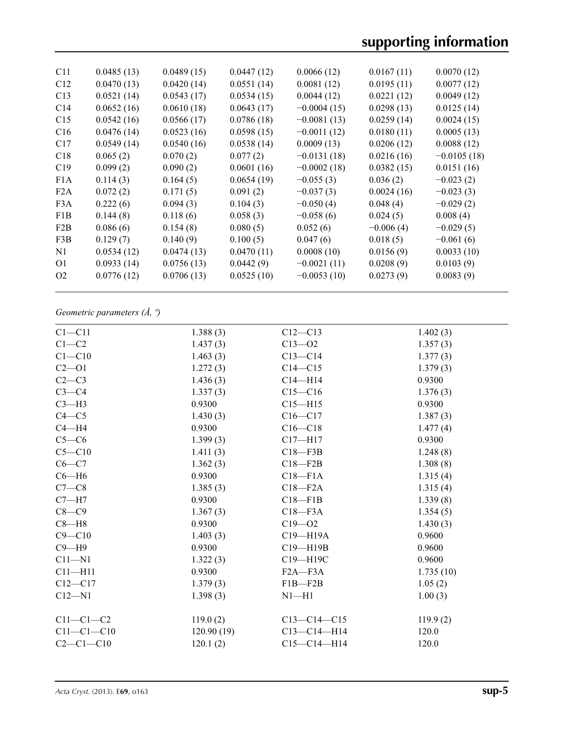# **supporting information**

| C11              | 0.0485(13) | 0.0489(15) | 0.0447(12) | 0.0066(12)    | 0.0167(11)  | 0.0070(12)    |
|------------------|------------|------------|------------|---------------|-------------|---------------|
| C12              | 0.0470(13) | 0.0420(14) | 0.0551(14) | 0.0081(12)    | 0.0195(11)  | 0.0077(12)    |
| C13              | 0.0521(14) | 0.0543(17) | 0.0534(15) | 0.0044(12)    | 0.0221(12)  | 0.0049(12)    |
| C <sub>14</sub>  | 0.0652(16) | 0.0610(18) | 0.0643(17) | $-0.0004(15)$ | 0.0298(13)  | 0.0125(14)    |
| C15              | 0.0542(16) | 0.0566(17) | 0.0786(18) | $-0.0081(13)$ | 0.0259(14)  | 0.0024(15)    |
| C16              | 0.0476(14) | 0.0523(16) | 0.0598(15) | $-0.0011(12)$ | 0.0180(11)  | 0.0005(13)    |
| C17              | 0.0549(14) | 0.0540(16) | 0.0538(14) | 0.0009(13)    | 0.0206(12)  | 0.0088(12)    |
| C18              | 0.065(2)   | 0.070(2)   | 0.077(2)   | $-0.0131(18)$ | 0.0216(16)  | $-0.0105(18)$ |
| C19              | 0.099(2)   | 0.090(2)   | 0.0601(16) | $-0.0002(18)$ | 0.0382(15)  | 0.0151(16)    |
| F1A              | 0.114(3)   | 0.164(5)   | 0.0654(19) | $-0.055(3)$   | 0.036(2)    | $-0.023(2)$   |
| F2A              | 0.072(2)   | 0.171(5)   | 0.091(2)   | $-0.037(3)$   | 0.0024(16)  | $-0.023(3)$   |
| F <sub>3</sub> A | 0.222(6)   | 0.094(3)   | 0.104(3)   | $-0.050(4)$   | 0.048(4)    | $-0.029(2)$   |
| F1B              | 0.144(8)   | 0.118(6)   | 0.058(3)   | $-0.058(6)$   | 0.024(5)    | 0.008(4)      |
| F2B              | 0.086(6)   | 0.154(8)   | 0.080(5)   | 0.052(6)      | $-0.006(4)$ | $-0.029(5)$   |
| F3B              | 0.129(7)   | 0.140(9)   | 0.100(5)   | 0.047(6)      | 0.018(5)    | $-0.061(6)$   |
| N1               | 0.0534(12) | 0.0474(13) | 0.0470(11) | 0.0008(10)    | 0.0156(9)   | 0.0033(10)    |
| O <sub>1</sub>   | 0.0933(14) | 0.0756(13) | 0.0442(9)  | $-0.0021(11)$ | 0.0208(9)   | 0.0103(9)     |
| O <sub>2</sub>   | 0.0776(12) | 0.0706(13) | 0.0525(10) | $-0.0053(10)$ | 0.0273(9)   | 0.0083(9)     |
|                  |            |            |            |               |             |               |

## *Geometric parameters (Å, º)*

| $C1 - C11$       | 1.388(3)   | $C12 - C13$       | 1.402(3)  |
|------------------|------------|-------------------|-----------|
| $C1 - C2$        | 1.437(3)   | $C13 - 02$        | 1.357(3)  |
| $C1 - C10$       | 1.463(3)   | $C13-C14$         | 1.377(3)  |
| $C2 - 01$        | 1.272(3)   | $C14 - C15$       | 1.379(3)  |
| $C2-C3$          | 1.436(3)   | $C14 - H14$       | 0.9300    |
| $C3-C4$          | 1.337(3)   | $C15 - C16$       | 1.376(3)  |
| $C3-H3$          | 0.9300     | $C15 - H15$       | 0.9300    |
| $C4 - C5$        | 1.430(3)   | $C16 - C17$       | 1.387(3)  |
| $C4 - H4$        | 0.9300     | $C16 - C18$       | 1.477(4)  |
| $C5-C6$          | 1.399(3)   | $C17 - H17$       | 0.9300    |
| $C5 - C10$       | 1.411(3)   | $C18 - F3B$       | 1.248(8)  |
| $C6-C7$          | 1.362(3)   | $C18 - F2B$       | 1.308(8)  |
| $C6 - H6$        | 0.9300     | $C18 - F1A$       | 1.315(4)  |
| $C7-C8$          | 1.385(3)   | $C18 - F2A$       | 1.315(4)  |
| $C7 - H7$        | 0.9300     | $C18 - F1B$       | 1.339(8)  |
| $C8-C9$          | 1.367(3)   | $C18 - F3A$       | 1.354(5)  |
| $C8 - H8$        | 0.9300     | $C19 - 02$        | 1.430(3)  |
| $C9 - C10$       | 1.403(3)   | C19-H19A          | 0.9600    |
| $C9 - H9$        | 0.9300     | C19-H19B          | 0.9600    |
| $C11 - N1$       | 1.322(3)   | C19-H19C          | 0.9600    |
| $C11 - H11$      | 0.9300     | $F2A - F3A$       | 1.735(10) |
| $C12 - C17$      | 1.379(3)   | $F1B - F2B$       | 1.05(2)   |
| $C12 - N1$       | 1.398(3)   | $N1 - H1$         | 1.00(3)   |
|                  |            |                   |           |
| $C11-C1-C2$      | 119.0(2)   | $C13-C14-C15$     | 119.9(2)  |
| $C11 - C1 - C10$ | 120.90(19) | $C13 - C14 - H14$ | 120.0     |
| $C2-C1-C10$      | 120.1(2)   | $C15-C14-H14$     | 120.0     |
|                  |            |                   |           |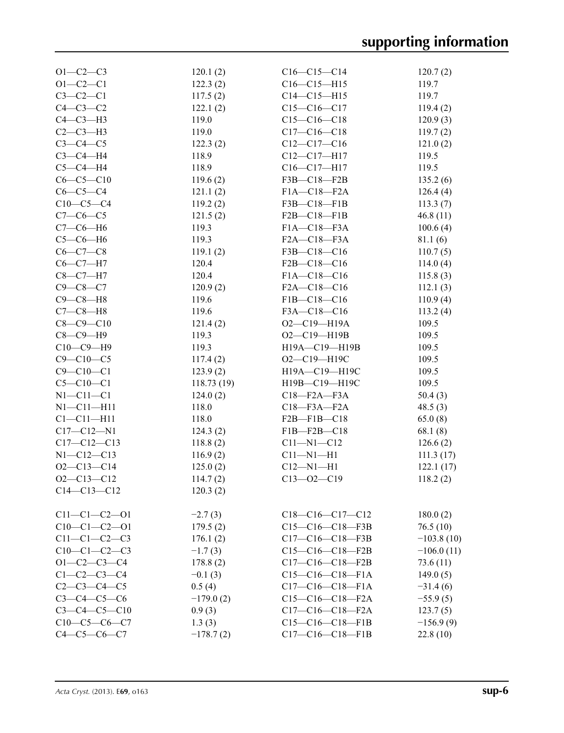| $O1 - C2 - C3$       | 120.1(2)    | $C16-C15-C14$       | 120.7(2)     |
|----------------------|-------------|---------------------|--------------|
| $O1 - C2 - C1$       | 122.3(2)    | $C16 - C15 - H15$   | 119.7        |
| $C3-C2-C1$           | 117.5(2)    | $C14 - C15 - H15$   | 119.7        |
| $C4-C3-C2$           | 122.1(2)    | $C15 - C16 - C17$   | 119.4(2)     |
| $C4-C3-H3$           | 119.0       | $C15-C16-C18$       | 120.9(3)     |
| $C2-C3-H3$           | 119.0       | $C17 - C16 - C18$   | 119.7(2)     |
| $C3-C4-C5$           | 122.3(2)    | $C12-C17-C16$       | 121.0(2)     |
| $C3-C4-H4$           | 118.9       | $C12-C17-H17$       | 119.5        |
| $C5-C4-H4$           | 118.9       | $C16-C17-H17$       | 119.5        |
| $C6-C5-C10$          | 119.6(2)    | $F3B - C18 - F2B$   | 135.2(6)     |
| $C6-C5-C4$           | 121.1(2)    | $F1A - C18 - F2A$   | 126.4(4)     |
| $C10-C5-C4$          | 119.2(2)    | $F3B - C18 - F1B$   | 113.3(7)     |
| $C7-C6-C5$           | 121.5(2)    | $F2B - C18 - F1B$   | 46.8(11)     |
| $C7-C6-H6$           | 119.3       | $F1A - C18 - F3A$   |              |
|                      |             |                     | 100.6(4)     |
| $C5-C6-H6$           | 119.3       | $F2A - C18 - F3A$   | 81.1(6)      |
| $C6-C7-C8$           | 119.1(2)    | F3B-C18-C16         | 110.7(5)     |
| $C6 - C7 - H7$       | 120.4       | $F2B-C18-C16$       | 114.0(4)     |
| $C8-C7-H7$           | 120.4       | $F1A - C18 - C16$   | 115.8(3)     |
| $C9 - C8 - C7$       | 120.9(2)    | $F2A - C18 - C16$   | 112.1(3)     |
| $C9-C8-H8$           | 119.6       | $F1B-C18-C16$       | 110.9(4)     |
| $C7-C8-H8$           | 119.6       | F3A-C18-C16         | 113.2(4)     |
| $C8 - C9 - C10$      | 121.4(2)    | $O2 - C19 - H19A$   | 109.5        |
| $C8-C9-H9$           | 119.3       | $O2 - C19 - H19B$   | 109.5        |
| $C10-C9-H9$          | 119.3       | H19A-C19-H19B       | 109.5        |
| $C9 - C10 - C5$      | 117.4(2)    | O2-C19-H19C         | 109.5        |
| $C9 - C10 - C1$      | 123.9(2)    | $H19A - C19 - H19C$ | 109.5        |
| $C5 - C10 - C1$      | 118.73(19)  | H19B-C19-H19C       | 109.5        |
| $N1-C11-C1$          | 124.0(2)    | $C18 - F2A - F3A$   | 50.4(3)      |
| $N1 - C11 - H11$     | 118.0       | $C18 - F3A - F2A$   | 48.5(3)      |
| $Cl - Cl1 - H11$     | 118.0       | $F2B-F1B-C18$       | 65.0(8)      |
| $C17 - C12 - N1$     | 124.3(2)    | $F1B - F2B - C18$   | 68.1(8)      |
| $C17 - C12 - C13$    | 118.8(2)    | $C11 - N1 - C12$    | 126.6(2)     |
| $N1 - C12 - C13$     | 116.9(2)    | $C11 - N1 - H1$     | 111.3(17)    |
| $O2 - C13 - C14$     | 125.0(2)    | $C12 - N1 - H1$     | 122.1(17)    |
| $O2 - C13 - C12$     | 114.7(2)    | $C13 - 02 - C19$    | 118.2(2)     |
| $C14 - C13 - C12$    | 120.3(2)    |                     |              |
|                      |             |                     |              |
| $C11-C1-C2-01$       | $-2.7(3)$   | $C18-C16-C17-C12$   | 180.0(2)     |
| $C10-C1-C2-01$       |             | $C15-C16-C18-F3B$   | 76.5(10)     |
|                      | 179.5(2)    |                     |              |
| $C11-C1-C2-C3$       | 176.1(2)    | $C17-C16-C18-F3B$   | $-103.8(10)$ |
| $C10-C1-C2-C3$       | $-1.7(3)$   | $C15-C16-C18-F2B$   | $-106.0(11)$ |
| $O1 - C2 - C3 - C4$  | 178.8(2)    | $C17-C16-C18-F2B$   | 73.6 (11)    |
| $C1 - C2 - C3 - C4$  | $-0.1(3)$   | $C15-C16-C18-F1A$   | 149.0(5)     |
| $C2 - C3 - C4 - C5$  | 0.5(4)      | $C17-C16-C18-F1A$   | $-31.4(6)$   |
| $C3 - C4 - C5 - C6$  | $-179.0(2)$ | $C15-C16-C18-F2A$   | $-55.9(5)$   |
| $C3 - C4 - C5 - C10$ | 0.9(3)      | $C17-C16-C18-F2A$   | 123.7(5)     |
| $C10-C5-C6-C7$       | 1.3(3)      | $C15-C16-C18-F1B$   | $-156.9(9)$  |
| $C4 - C5 - C6 - C7$  | $-178.7(2)$ | $C17-C16-C18-F1B$   | 22.8(10)     |